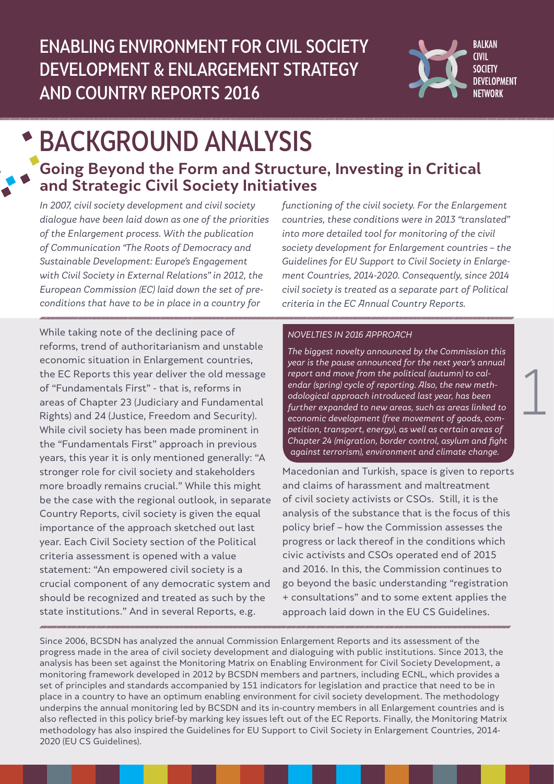

# BACKGROUND ANALYSIS **Going Beyond the Form and Structure, Investing in Critical and Strategic Civil Society Initiatives**

In 2007, civil society development and civil society dialogue have been laid down as one of the priorities of the Enlargement process. With the publication of Communication "The Roots of Democracy and Sustainable Development: Europe's Engagement with Civil Society in External Relations" in 2012, the European Commission (EC) laid down the set of preconditions that have to be in place in a country for

While taking note of the declining pace of reforms, trend of authoritarianism and unstable economic situation in Enlargement countries, the EC Reports this year deliver the old message of "Fundamentals First" - that is, reforms in areas of Chapter 23 (Judiciary and Fundamental Rights) and 24 (Justice, Freedom and Security). While civil society has been made prominent in the "Fundamentals First" approach in previous years, this year it is only mentioned generally: "A stronger role for civil society and stakeholders more broadly remains crucial." While this might be the case with the regional outlook, in separate Country Reports, civil society is given the equal importance of the approach sketched out last year. Each Civil Society section of the Political criteria assessment is opened with a value statement: "An empowered civil society is a crucial component of any democratic system and should be recognized and treated as such by the state institutions." And in several Reports, e.g.

functioning of the civil society. For the Enlargement countries, these conditions were in 2013 "translated" into more detailed tool for monitoring of the civil society development for Enlargement countries – the Guidelines for EU Support to Civil Society in Enlargement Countries, 2014-2020. Consequently, since 2014 civil society is treated as a separate part of Political criteria in the EC Annual Country Reports.

#### NOVELTIES IN 2016 APPROACH

The biggest novelty announced by the Commission this year is the pause announced for the next year's annual report and move from the political (autumn) to calendar (spring) cycle of reporting. Also, the new methodological approach introduced last year, has been further expanded to new areas, such as areas linked to economic development (free movement of goods, competition, transport, energy), as well as certain areas of Chapter 24 (migration, border control, asylum and fight against terrorism), environment and climate change.

1

Macedonian and Turkish, space is given to reports and claims of harassment and maltreatment of civil society activists or CSOs. Still, it is the analysis of the substance that is the focus of this policy brief – how the Commission assesses the progress or lack thereof in the conditions which civic activists and CSOs operated end of 2015 and 2016. In this, the Commission continues to go beyond the basic understanding "registration + consultations" and to some extent applies the approach laid down in the EU CS Guidelines.

Since 2006, BCSDN has analyzed the annual Commission Enlargement Reports and its assessment of the progress made in the area of civil society development and dialoguing with public institutions. Since 2013, the analysis has been set against the Monitoring Matrix on Enabling Environment for Civil Society Development, a monitoring framework developed in 2012 by BCSDN members and partners, including ECNL, which provides a set of principles and standards accompanied by 151 indicators for legislation and practice that need to be in place in a country to have an optimum enabling environment for civil society development. The methodology underpins the annual monitoring led by BCSDN and its in-country members in all Enlargement countries and is also reflected in this policy brief-by marking key issues left out of the EC Reports. Finally, the Monitoring Matrix methodology has also inspired the Guidelines for EU Support to Civil Society in Enlargement Countries, 2014- 2020 (EU CS Guidelines).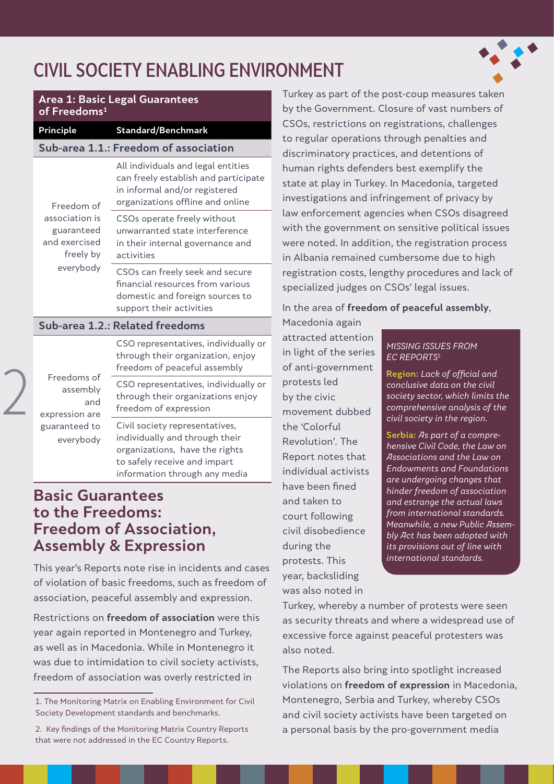# CIVIL SOCIETY ENABLING ENVIRONMENT



| <b>Area 1: Basic Legal Guarantees</b><br>of Freedoms <sup>1</sup>                     |                                                                                                                                                                     |  |
|---------------------------------------------------------------------------------------|---------------------------------------------------------------------------------------------------------------------------------------------------------------------|--|
| <b>Principle</b>                                                                      | <b>Standard/Benchmark</b>                                                                                                                                           |  |
| Sub-area 1.1.: Freedom of association                                                 |                                                                                                                                                                     |  |
| Freedom of<br>association is<br>guaranteed<br>and exercised<br>freely by<br>everybody | All individuals and legal entities<br>can freely establish and participate<br>in informal and/or registered<br>organizations offline and online                     |  |
|                                                                                       | CSOs operate freely without<br>unwarranted state interference<br>in their internal governance and<br>activities                                                     |  |
|                                                                                       | CSOs can freely seek and secure<br>financial resources from various<br>domestic and foreign sources to<br>support their activities                                  |  |
| Sub-area 1.2.: Related freedoms                                                       |                                                                                                                                                                     |  |
| Freedoms of<br>assembly<br>and<br>expression are<br>guaranteed to<br>everybody        | CSO representatives, individually or<br>through their organization, enjoy<br>freedom of peaceful assembly                                                           |  |
|                                                                                       | CSO representatives, individually or<br>through their organizations enjoy<br>freedom of expression                                                                  |  |
|                                                                                       | Civil society representatives,<br>individually and through their<br>organizations, have the rights<br>to safely receive and impart<br>information through any media |  |

## **Basic Guarantees to the Freedoms: Freedom of Association, Assembly & Expression**

2

This year's Reports note rise in incidents and cases of violation of basic freedoms, such as freedom of association, peaceful assembly and expression.

Restrictions on **freedom of association** were this year again reported in Montenegro and Turkey, as well as in Macedonia. While in Montenegro it was due to intimidation to civil society activists, freedom of association was overly restricted in

Turkey as part of the post-coup measures taken by the Government. Closure of vast numbers of CSOs, restrictions on registrations, challenges to regular operations through penalties and discriminatory practices, and detentions of human rights defenders best exemplify the state at play in Turkey. In Macedonia, targeted investigations and infringement of privacy by law enforcement agencies when CSOs disagreed with the government on sensitive political issues were noted. In addition, the registration process in Albania remained cumbersome due to high registration costs, lengthy procedures and lack of specialized judges on CSOs' legal issues.

In the area of **freedom of peaceful assembly**,

Macedonia again attracted attention in light of the series of anti-government protests led by the civic movement dubbed the 'Colorful Revolution'. The Report notes that individual activists have been fined and taken to court following civil disobedience during the protests. This year, backsliding was also noted in

#### MISSING ISSUES FROM EC REPORTS2

**Region:** Lack of official and conclusive data on the civil society sector, which limits the comprehensive analysis of the civil society in the region.

**Serbia:** As part of a comprehensive Civil Code, the Law on Associations and the Law on Endowments and Foundations are undergoing changes that hinder freedom of association and estrange the actual laws from international standards. Meanwhile, a new Public Assembly Act has been adopted with its provisions out of line with international standards.

Turkey, whereby a number of protests were seen as security threats and where a widespread use of excessive force against peaceful protesters was also noted.

The Reports also bring into spotlight increased violations on **freedom of expression** in Macedonia, Montenegro, Serbia and Turkey, whereby CSOs and civil society activists have been targeted on a personal basis by the pro-government media

<sup>1.</sup> The Monitoring Matrix on Enabling Environment for Civil Society Development standards and benchmarks.

<sup>2.</sup> Key findings of the Monitoring Matrix Country Reports that were not addressed in the EC Country Reports.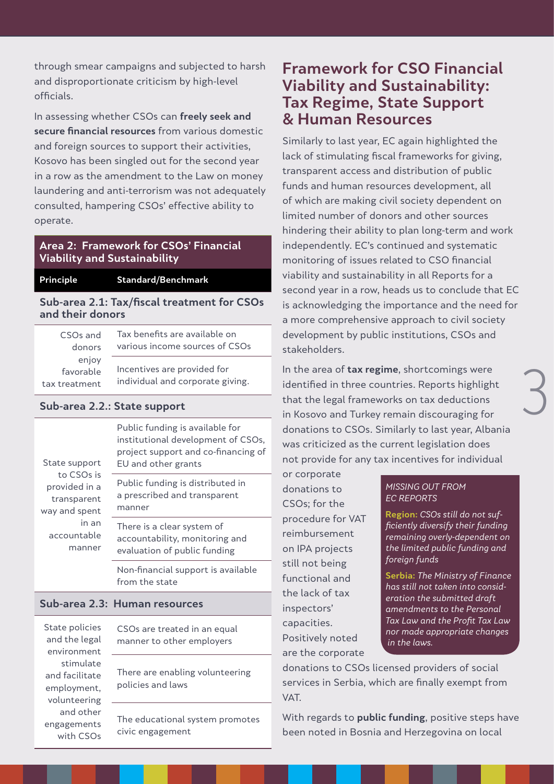through smear campaigns and subjected to harsh and disproportionate criticism by high-level officials.

In assessing whether CSOs can **freely seek and secure financial resources** from various domestic and foreign sources to support their activities, Kosovo has been singled out for the second year in a row as the amendment to the Law on money laundering and anti-terrorism was not adequately consulted, hampering CSOs' effective ability to operate.

#### **Area 2: Framework for CSOs' Financial Viability and Sustainability**

**Principle Standard/Benchmark**

#### **Sub-area 2.1: Tax/fiscal treatment for CSOs and their donors**

| CSOs and<br>donors | Tax benefits are available on<br>various income sources of CSOs |
|--------------------|-----------------------------------------------------------------|
| enjoy              |                                                                 |
| favorable          | Incentives are provided for                                     |
| tax treatment      | individual and corporate giving.                                |

#### **Sub-area 2.2.: State support**

| State support<br>to CSOs is<br>provided in a<br>transparent<br>way and spent<br>in an<br>accountable<br>manner | Public funding is available for<br>institutional development of CSOs,<br>project support and co-financing of<br>EU and other grants |
|----------------------------------------------------------------------------------------------------------------|-------------------------------------------------------------------------------------------------------------------------------------|
|                                                                                                                | Public funding is distributed in<br>a prescribed and transparent<br>manner                                                          |
|                                                                                                                | There is a clear system of<br>accountability, monitoring and<br>evaluation of public funding                                        |
|                                                                                                                | Non-financial support is available<br>from the state                                                                                |

#### **Sub-area 2.3: Human resources**

State policies and the legal environment stimulate and facilitate employment, volunteering and other engagements with CSOs

CSOs are treated in an equal manner to other employers

There are enabling volunteering policies and laws

The educational system promotes civic engagement

## **Framework for CSO Financial Viability and Sustainability: Tax Regime, State Support & Human Resources**

Similarly to last year, EC again highlighted the lack of stimulating fiscal frameworks for giving, transparent access and distribution of public funds and human resources development, all of which are making civil society dependent on limited number of donors and other sources hindering their ability to plan long-term and work independently. EC's continued and systematic monitoring of issues related to CSO financial viability and sustainability in all Reports for a second year in a row, heads us to conclude that EC is acknowledging the importance and the need for a more comprehensive approach to civil society development by public institutions, CSOs and stakeholders.

In the area of **tax regime**, shortcomings were identified in three countries. Reports highlight that the legal frameworks on tax deductions in Kosovo and Turkey remain discouraging for donations to CSOs. Similarly to last year, Albania was criticized as the current legislation does not provide for any tax incentives for individual

or corporate donations to CSOs; for the procedure for VAT reimbursement on IPA projects still not being functional and the lack of tax inspectors' capacities. Positively noted are the corporate

#### MISSING OUT FROM EC REPORTS

**Region:** CSOs still do not sufficiently diversify their funding remaining overly-dependent on the limited public funding and foreign funds

3

**Serbia:** The Ministry of Finance has still not taken into consideration the submitted draft amendments to the Personal Tax Law and the Profit Tax Law nor made appropriate changes in the laws.

donations to CSOs licensed providers of social services in Serbia, which are finally exempt from VAT.

With regards to **public funding**, positive steps have been noted in Bosnia and Herzegovina on local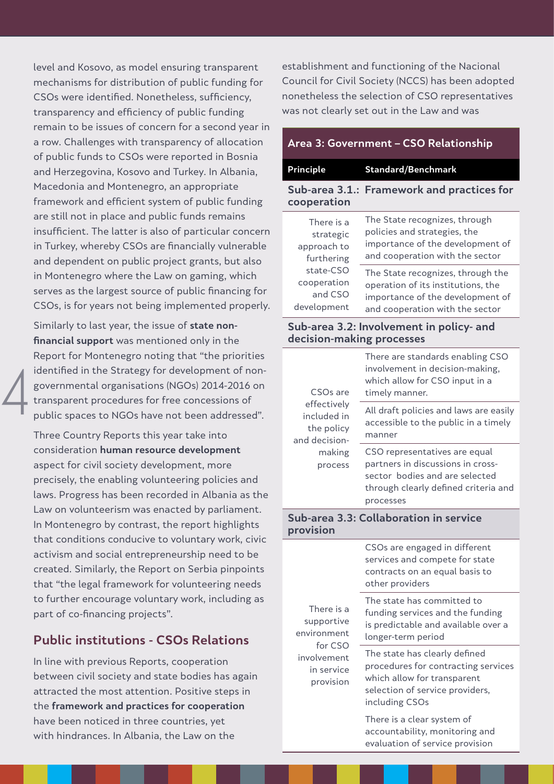level and Kosovo, as model ensuring transparent mechanisms for distribution of public funding for CSOs were identified. Nonetheless, sufficiency, transparency and efficiency of public funding remain to be issues of concern for a second year in a row. Challenges with transparency of allocation of public funds to CSOs were reported in Bosnia and Herzegovina, Kosovo and Turkey. In Albania, Macedonia and Montenegro, an appropriate framework and efficient system of public funding are still not in place and public funds remains insufficient. The latter is also of particular concern in Turkey, whereby CSOs are financially vulnerable and dependent on public project grants, but also in Montenegro where the Law on gaming, which serves as the largest source of public financing for CSOs, is for years not being implemented properly.

Similarly to last year, the issue of **state nonfinancial support** was mentioned only in the Report for Montenegro noting that "the priorities identified in the Strategy for development of nongovernmental organisations (NGOs) 2014-2016 on transparent procedures for free concessions of public spaces to NGOs have not been addressed".

4

Three Country Reports this year take into consideration **human resource development** aspect for civil society development, more precisely, the enabling volunteering policies and laws. Progress has been recorded in Albania as the Law on volunteerism was enacted by parliament. In Montenegro by contrast, the report highlights that conditions conducive to voluntary work, civic activism and social entrepreneurship need to be created. Similarly, the Report on Serbia pinpoints that "the legal framework for volunteering needs to further encourage voluntary work, including as part of co-financing projects".

### **Public institutions - CSOs Relations**

In line with previous Reports, cooperation between civil society and state bodies has again attracted the most attention. Positive steps in the **framework and practices for cooperation** have been noticed in three countries, yet with hindrances. In Albania, the Law on the

establishment and functioning of the Nacional Council for Civil Society (NCCS) has been adopted nonetheless the selection of CSO representatives was not clearly set out in the Law and was

| Area 3: Government – CSO Relationship                                                                      |                                                                                                                                                |  |
|------------------------------------------------------------------------------------------------------------|------------------------------------------------------------------------------------------------------------------------------------------------|--|
| Principle                                                                                                  | <b>Standard/Benchmark</b>                                                                                                                      |  |
| cooperation                                                                                                | Sub-area 3.1.: Framework and practices for                                                                                                     |  |
| There is a<br>strategic<br>approach to<br>furthering<br>state-CSO<br>cooperation<br>and CSO<br>development | The State recognizes, through<br>policies and strategies, the<br>importance of the development of<br>and cooperation with the sector           |  |
|                                                                                                            | The State recognizes, through the<br>operation of its institutions, the<br>importance of the development of<br>and cooperation with the sector |  |
| Sub-area 3.2: Involvement in policy- and<br>decision-making processes                                      |                                                                                                                                                |  |
| CSO <sub>s</sub> are<br>effectively<br>included in<br>the policy<br>and decision-<br>making                | There are standards enabling CSO<br>involvement in decision-making,<br>which allow for CSO input in a<br>timely manner.                        |  |
|                                                                                                            | All draft policies and laws are easily<br>accessible to the public in a timely<br>manner                                                       |  |
|                                                                                                            | CSO representatives are equal                                                                                                                  |  |

partners in discussions in crosssector bodies and are selected through clearly defined criteria and processes

#### **Sub-area 3.3: Collaboration in service provision**

process

| There is a<br>supportive<br>environment<br>for CSO<br>involvement<br>in service<br>provision | CSOs are engaged in different<br>services and compete for state<br>contracts on an equal basis to<br>other providers                                     |
|----------------------------------------------------------------------------------------------|----------------------------------------------------------------------------------------------------------------------------------------------------------|
|                                                                                              | The state has committed to<br>funding services and the funding<br>is predictable and available over a<br>longer-term period                              |
|                                                                                              | The state has clearly defined<br>procedures for contracting services<br>which allow for transparent<br>selection of service providers,<br>including CSOs |
|                                                                                              | There is a clear system of<br>accountability, monitoring and                                                                                             |

evaluation of service provision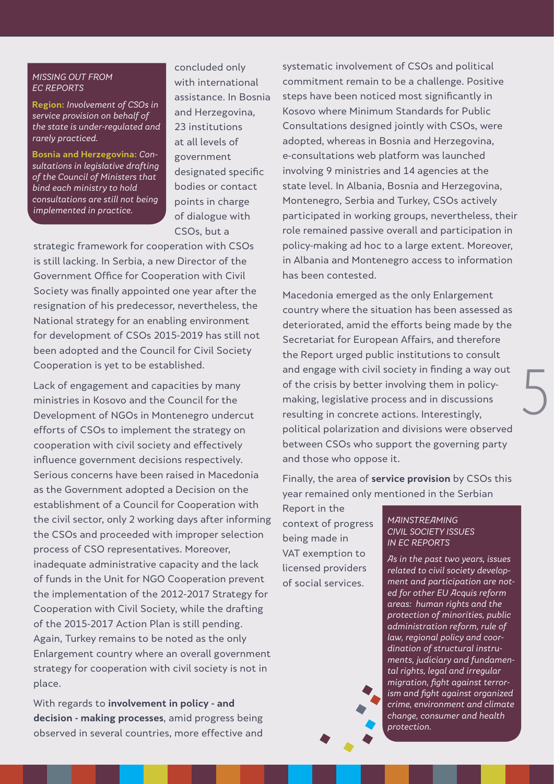#### MISSING OUT FROM EC REPORTS

**Region:** Involvement of CSOs in service provision on behalf of the state is under-regulated and rarely practiced.

**Bosnia and Herzegovina:** Consultations in legislative drafting of the Council of Ministers that bind each ministry to hold consultations are still not being implemented in practice.

concluded only with international assistance. In Bosnia and Herzegovina, 23 institutions at all levels of government designated specific bodies or contact points in charge of dialogue with CSOs, but a

strategic framework for cooperation with CSOs is still lacking. In Serbia, a new Director of the Government Office for Cooperation with Civil Society was finally appointed one year after the resignation of his predecessor, nevertheless, the National strategy for an enabling environment for development of CSOs 2015-2019 has still not been adopted and the Council for Civil Society Cooperation is yet to be established.

Lack of engagement and capacities by many ministries in Kosovo and the Council for the Development of NGOs in Montenegro undercut efforts of CSOs to implement the strategy on cooperation with civil society and effectively influence government decisions respectively. Serious concerns have been raised in Macedonia as the Government adopted a Decision on the establishment of a Council for Cooperation with the civil sector, only 2 working days after informing the CSOs and proceeded with improper selection process of CSO representatives. Moreover, inadequate administrative capacity and the lack of funds in the Unit for NGO Cooperation prevent the implementation of the 2012-2017 Strategy for Cooperation with Civil Society, while the drafting of the 2015-2017 Action Plan is still pending. Again, Turkey remains to be noted as the only Enlargement country where an overall government strategy for cooperation with civil society is not in place.

With regards to **involvement in policy - and decision - making processes**, amid progress being observed in several countries, more effective and

systematic involvement of CSOs and political commitment remain to be a challenge. Positive steps have been noticed most significantly in Kosovo where Minimum Standards for Public Consultations designed jointly with CSOs, were adopted, whereas in Bosnia and Herzegovina, e-consultations web platform was launched involving 9 ministries and 14 agencies at the state level. In Albania, Bosnia and Herzegovina, Montenegro, Serbia and Turkey, CSOs actively participated in working groups, nevertheless, their role remained passive overall and participation in policy-making ad hoc to a large extent. Moreover, in Albania and Montenegro access to information has been contested.

Macedonia emerged as the only Enlargement country where the situation has been assessed as deteriorated, amid the efforts being made by the Secretariat for European Affairs, and therefore the Report urged public institutions to consult and engage with civil society in finding a way out of the crisis by better involving them in policymaking, legislative process and in discussions resulting in concrete actions. Interestingly, political polarization and divisions were observed between CSOs who support the governing party and those who oppose it.

Finally, the area of **service provision** by CSOs this year remained only mentioned in the Serbian

Report in the context of progress being made in VAT exemption to licensed providers of social services.

**MAINSTREAMING** CIVIL SOCIETY ISSUES IN EC REPORTS

5

As in the past two years, issues related to civil society development and participation are noted for other EU Acquis reform areas: human rights and the protection of minorities, public administration reform, rule of law, regional policy and coordination of structural instruments, judiciary and fundamental rights, legal and irregular migration, fight against terrorism and fight against organized crime, environment and climate change, consumer and health protection.